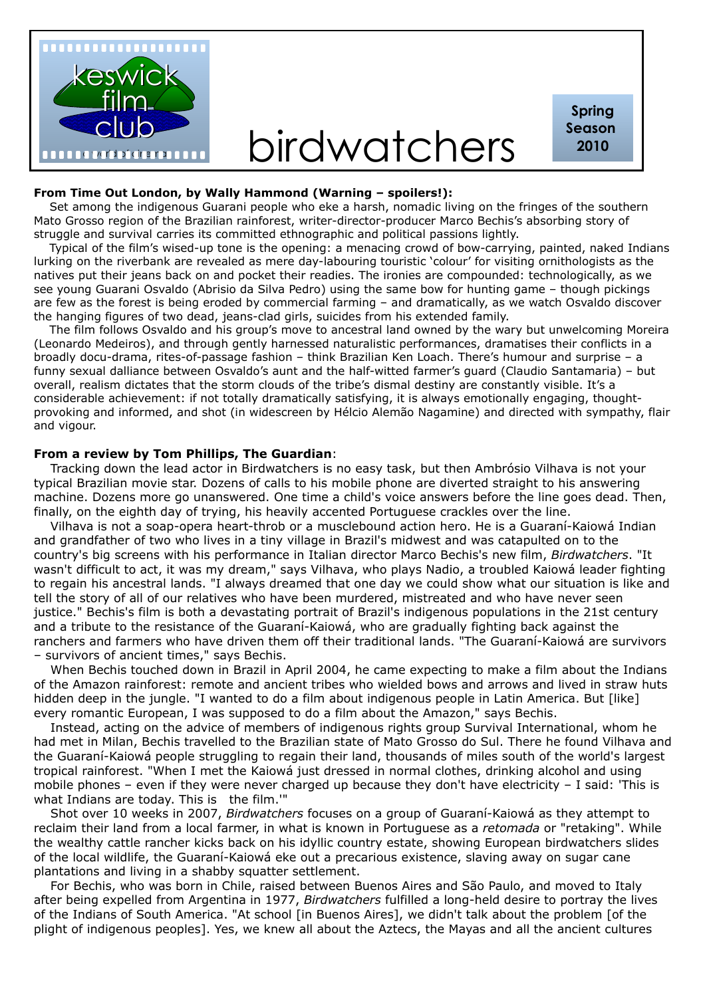

## birdwatchers

## **From Time Out London, by Wally Hammond (Warning – spoilers!):**

 Set among the indigenous Guarani people who eke a harsh, nomadic living on the fringes of the southern Mato Grosso region of the Brazilian rainforest, writer-director-producer [Marco Bechis'](http://www.timeout.com/film/people/324845/marco-bechis.html)s absorbing story of struggle and survival carries its committed ethnographic and political passions lightly.

 Typical of the film's wised-up tone is the opening: a menacing crowd of bow-carrying, painted, naked Indians lurking on the riverbank are revealed as mere day-labouring touristic 'colour' for visiting ornithologists as the natives put their jeans back on and pocket their readies. The ironies are compounded: technologically, as we see young Guarani Osvaldo (Abrisio da Silva Pedro) using the same bow for hunting game – though pickings are few as the forest is being eroded by commercial farming – and dramatically, as we watch Osvaldo discover the hanging figures of two dead, jeans-clad girls, suicides from his extended family.

 The film follows Osvaldo and his group's move to ancestral land owned by the wary but unwelcoming Moreira (Leonardo Medeiros), and through gently harnessed naturalistic performances, dramatises their conflicts in a broadly docu-drama, rites-of-passage fashion – think Brazilian Ken Loach. There's humour and surprise – a funny sexual dalliance between Osvaldo's aunt and the half-witted farmer's guard [\(Claudio Santamaria\)](http://www.timeout.com/film/people/314027/claudio-santamaria.html) – but overall, realism dictates that the storm clouds of the tribe's dismal destiny are constantly visible. It's a considerable achievement: if not totally dramatically satisfying, it is always emotionally engaging, thoughtprovoking and informed, and shot (in widescreen by Hélcio Alemão Nagamine) and directed with sympathy, flair and vigour.

## **From a review by Tom Phillips, The Guardian**:

 Tracking down the lead actor in Birdwatchers is no easy task, but then Ambrósio Vilhava is not your typical Brazilian movie star. Dozens of calls to his mobile phone are diverted straight to his answering machine. Dozens more go unanswered. One time a child's voice answers before the line goes dead. Then, finally, on the eighth day of trying, his heavily accented Portuguese crackles over the line.

 Vilhava is not a soap-opera heart-throb or a musclebound action hero. He is a Guaraní-Kaiowá Indian and grandfather of two who lives in a tiny village in Brazil's midwest and was catapulted on to the country's big screens with his performance in Italian director Marco Bechis's new film, *Birdwatchers*. "It wasn't difficult to act, it was my dream," says Vilhava, who plays Nadio, a troubled Kaiowá leader fighting to regain his ancestral lands. "I always dreamed that one day we could show what our situation is like and tell the story of all of our relatives who have been murdered, mistreated and who have never seen justice." Bechis's film is both a devastating portrait of Brazil's indigenous populations in the 21st century and a tribute to the resistance of the Guaraní-Kaiowá, who are gradually fighting back against the ranchers and farmers who have driven them off their traditional lands. "The Guaraní-Kaiowá are survivors – survivors of ancient times," says Bechis.

 When Bechis touched down in Brazil in April 2004, he came expecting to make a film about the Indians of the Amazon rainforest: remote and ancient tribes who wielded bows and arrows and lived in straw huts hidden deep in the jungle. "I wanted to do a film about indigenous people in Latin America. But [like] every romantic European, I was supposed to do a film about the Amazon," says Bechis.

 Instead, acting on the advice of members of indigenous rights group Survival International, whom he had met in Milan, Bechis travelled to the Brazilian state of Mato Grosso do Sul. There he found Vilhava and the Guaraní-Kaiowá people struggling to regain their land, thousands of miles south of the world's largest tropical rainforest. "When I met the Kaiowá just dressed in normal clothes, drinking alcohol and using mobile phones – even if they were never charged up because they don't have electricity – I said: 'This is what Indians are today. This is the film."

 Shot over 10 weeks in 2007, *Birdwatchers* focuses on a group of Guaraní-Kaiowá as they attempt to reclaim their land from a local farmer, in what is known in Portuguese as a *retomada* or "retaking". While the wealthy cattle rancher kicks back on his idyllic country estate, showing European birdwatchers slides of the local wildlife, the Guaraní-Kaiowá eke out a precarious existence, slaving away on sugar cane plantations and living in a shabby squatter settlement.

 For Bechis, who was born in Chile, raised between Buenos Aires and São Paulo, and moved to Italy after being expelled from Argentina in 1977, *Birdwatchers* fulfilled a long-held desire to portray the lives of the Indians of South America. "At school [in Buenos Aires], we didn't talk about the problem [of the plight of indigenous peoples]. Yes, we knew all about the Aztecs, the Mayas and all the ancient cultures